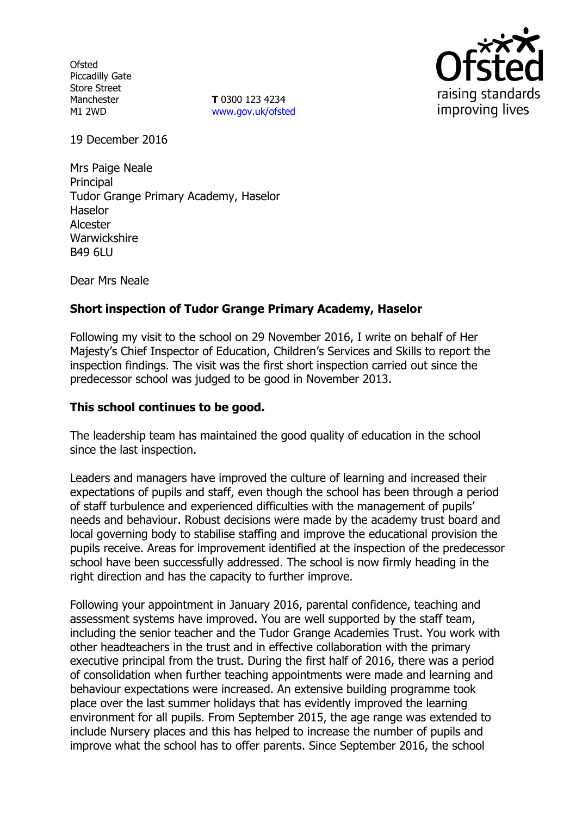**Ofsted** Piccadilly Gate Store Street Manchester M1 2WD

**T** 0300 123 4234 www.gov.uk/ofsted



19 December 2016

Mrs Paige Neale **Principal** Tudor Grange Primary Academy, Haselor Haselor Alcester **Warwickshire** B49 6LU

Dear Mrs Neale

# **Short inspection of Tudor Grange Primary Academy, Haselor**

Following my visit to the school on 29 November 2016, I write on behalf of Her Majesty's Chief Inspector of Education, Children's Services and Skills to report the inspection findings. The visit was the first short inspection carried out since the predecessor school was judged to be good in November 2013.

#### **This school continues to be good.**

The leadership team has maintained the good quality of education in the school since the last inspection.

Leaders and managers have improved the culture of learning and increased their expectations of pupils and staff, even though the school has been through a period of staff turbulence and experienced difficulties with the management of pupils' needs and behaviour. Robust decisions were made by the academy trust board and local governing body to stabilise staffing and improve the educational provision the pupils receive. Areas for improvement identified at the inspection of the predecessor school have been successfully addressed. The school is now firmly heading in the right direction and has the capacity to further improve.

Following your appointment in January 2016, parental confidence, teaching and assessment systems have improved. You are well supported by the staff team, including the senior teacher and the Tudor Grange Academies Trust. You work with other headteachers in the trust and in effective collaboration with the primary executive principal from the trust. During the first half of 2016, there was a period of consolidation when further teaching appointments were made and learning and behaviour expectations were increased. An extensive building programme took place over the last summer holidays that has evidently improved the learning environment for all pupils. From September 2015, the age range was extended to include Nursery places and this has helped to increase the number of pupils and improve what the school has to offer parents. Since September 2016, the school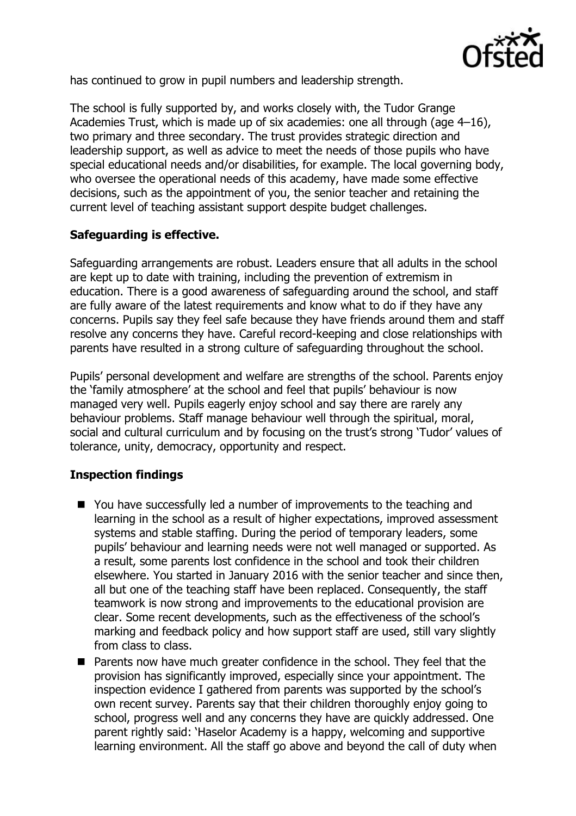

has continued to grow in pupil numbers and leadership strength.

The school is fully supported by, and works closely with, the Tudor Grange Academies Trust, which is made up of six academies: one all through (age 4–16), two primary and three secondary. The trust provides strategic direction and leadership support, as well as advice to meet the needs of those pupils who have special educational needs and/or disabilities, for example. The local governing body, who oversee the operational needs of this academy, have made some effective decisions, such as the appointment of you, the senior teacher and retaining the current level of teaching assistant support despite budget challenges.

# **Safeguarding is effective.**

Safeguarding arrangements are robust. Leaders ensure that all adults in the school are kept up to date with training, including the prevention of extremism in education. There is a good awareness of safeguarding around the school, and staff are fully aware of the latest requirements and know what to do if they have any concerns. Pupils say they feel safe because they have friends around them and staff resolve any concerns they have. Careful record-keeping and close relationships with parents have resulted in a strong culture of safeguarding throughout the school.

Pupils' personal development and welfare are strengths of the school. Parents enjoy the 'family atmosphere' at the school and feel that pupils' behaviour is now managed very well. Pupils eagerly enjoy school and say there are rarely any behaviour problems. Staff manage behaviour well through the spiritual, moral, social and cultural curriculum and by focusing on the trust's strong 'Tudor' values of tolerance, unity, democracy, opportunity and respect.

# **Inspection findings**

- You have successfully led a number of improvements to the teaching and learning in the school as a result of higher expectations, improved assessment systems and stable staffing. During the period of temporary leaders, some pupils' behaviour and learning needs were not well managed or supported. As a result, some parents lost confidence in the school and took their children elsewhere. You started in January 2016 with the senior teacher and since then, all but one of the teaching staff have been replaced. Consequently, the staff teamwork is now strong and improvements to the educational provision are clear. Some recent developments, such as the effectiveness of the school's marking and feedback policy and how support staff are used, still vary slightly from class to class.
- **Parents now have much greater confidence in the school. They feel that the** provision has significantly improved, especially since your appointment. The inspection evidence I gathered from parents was supported by the school's own recent survey. Parents say that their children thoroughly enjoy going to school, progress well and any concerns they have are quickly addressed. One parent rightly said: 'Haselor Academy is a happy, welcoming and supportive learning environment. All the staff go above and beyond the call of duty when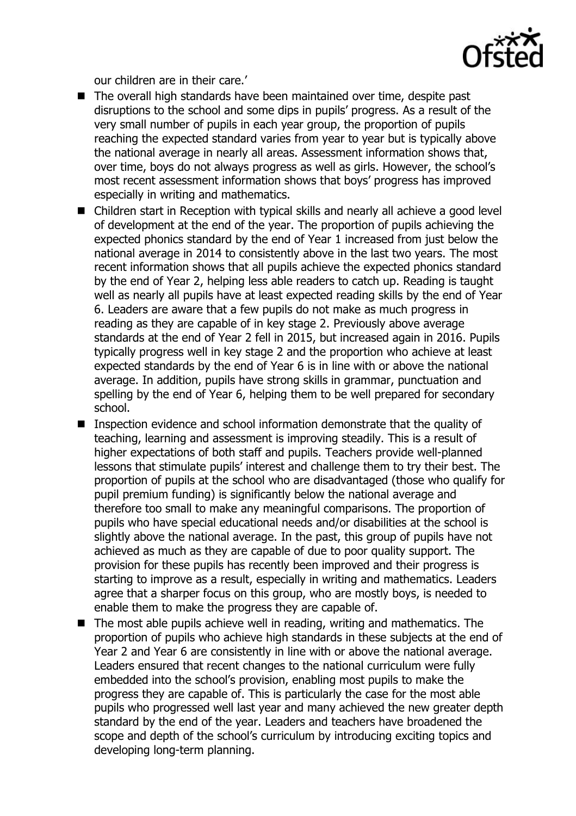

our children are in their care.'

- The overall high standards have been maintained over time, despite past disruptions to the school and some dips in pupils' progress. As a result of the very small number of pupils in each year group, the proportion of pupils reaching the expected standard varies from year to year but is typically above the national average in nearly all areas. Assessment information shows that, over time, boys do not always progress as well as girls. However, the school's most recent assessment information shows that boys' progress has improved especially in writing and mathematics.
- Children start in Reception with typical skills and nearly all achieve a good level of development at the end of the year. The proportion of pupils achieving the expected phonics standard by the end of Year 1 increased from just below the national average in 2014 to consistently above in the last two years. The most recent information shows that all pupils achieve the expected phonics standard by the end of Year 2, helping less able readers to catch up. Reading is taught well as nearly all pupils have at least expected reading skills by the end of Year 6. Leaders are aware that a few pupils do not make as much progress in reading as they are capable of in key stage 2. Previously above average standards at the end of Year 2 fell in 2015, but increased again in 2016. Pupils typically progress well in key stage 2 and the proportion who achieve at least expected standards by the end of Year 6 is in line with or above the national average. In addition, pupils have strong skills in grammar, punctuation and spelling by the end of Year 6, helping them to be well prepared for secondary school.
- Inspection evidence and school information demonstrate that the quality of teaching, learning and assessment is improving steadily. This is a result of higher expectations of both staff and pupils. Teachers provide well-planned lessons that stimulate pupils' interest and challenge them to try their best. The proportion of pupils at the school who are disadvantaged (those who qualify for pupil premium funding) is significantly below the national average and therefore too small to make any meaningful comparisons. The proportion of pupils who have special educational needs and/or disabilities at the school is slightly above the national average. In the past, this group of pupils have not achieved as much as they are capable of due to poor quality support. The provision for these pupils has recently been improved and their progress is starting to improve as a result, especially in writing and mathematics. Leaders agree that a sharper focus on this group, who are mostly boys, is needed to enable them to make the progress they are capable of.
- The most able pupils achieve well in reading, writing and mathematics. The proportion of pupils who achieve high standards in these subjects at the end of Year 2 and Year 6 are consistently in line with or above the national average. Leaders ensured that recent changes to the national curriculum were fully embedded into the school's provision, enabling most pupils to make the progress they are capable of. This is particularly the case for the most able pupils who progressed well last year and many achieved the new greater depth standard by the end of the year. Leaders and teachers have broadened the scope and depth of the school's curriculum by introducing exciting topics and developing long-term planning.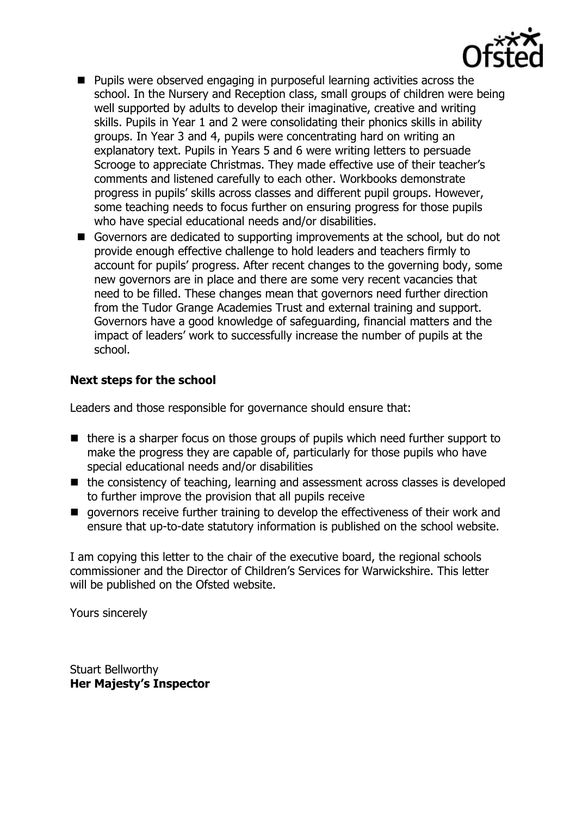

- **Pupils were observed engaging in purposeful learning activities across the** school. In the Nursery and Reception class, small groups of children were being well supported by adults to develop their imaginative, creative and writing skills. Pupils in Year 1 and 2 were consolidating their phonics skills in ability groups. In Year 3 and 4, pupils were concentrating hard on writing an explanatory text. Pupils in Years 5 and 6 were writing letters to persuade Scrooge to appreciate Christmas. They made effective use of their teacher's comments and listened carefully to each other. Workbooks demonstrate progress in pupils' skills across classes and different pupil groups. However, some teaching needs to focus further on ensuring progress for those pupils who have special educational needs and/or disabilities.
- Governors are dedicated to supporting improvements at the school, but do not provide enough effective challenge to hold leaders and teachers firmly to account for pupils' progress. After recent changes to the governing body, some new governors are in place and there are some very recent vacancies that need to be filled. These changes mean that governors need further direction from the Tudor Grange Academies Trust and external training and support. Governors have a good knowledge of safeguarding, financial matters and the impact of leaders' work to successfully increase the number of pupils at the school.

#### **Next steps for the school**

Leaders and those responsible for governance should ensure that:

- $\blacksquare$  there is a sharper focus on those groups of pupils which need further support to make the progress they are capable of, particularly for those pupils who have special educational needs and/or disabilities
- the consistency of teaching, learning and assessment across classes is developed to further improve the provision that all pupils receive
- $\blacksquare$  governors receive further training to develop the effectiveness of their work and ensure that up-to-date statutory information is published on the school website.

I am copying this letter to the chair of the executive board, the regional schools commissioner and the Director of Children's Services for Warwickshire. This letter will be published on the Ofsted website.

Yours sincerely

Stuart Bellworthy **Her Majesty's Inspector**